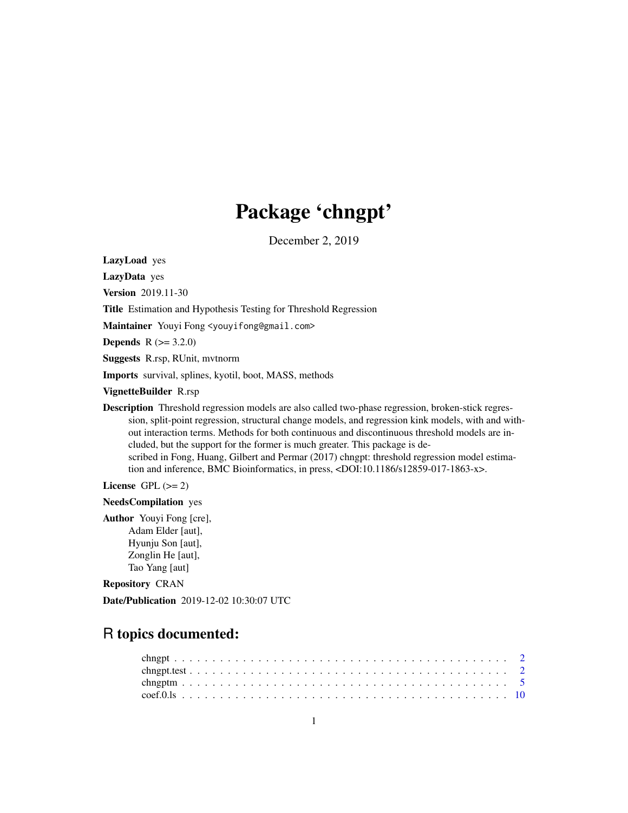# Package 'chngpt'

December 2, 2019

LazyLoad yes

LazyData yes

Version 2019.11-30

Title Estimation and Hypothesis Testing for Threshold Regression

Maintainer Youyi Fong <youyifong@gmail.com>

**Depends**  $R (= 3.2.0)$ 

Suggests R.rsp, RUnit, mvtnorm

Imports survival, splines, kyotil, boot, MASS, methods

VignetteBuilder R.rsp

Description Threshold regression models are also called two-phase regression, broken-stick regression, split-point regression, structural change models, and regression kink models, with and without interaction terms. Methods for both continuous and discontinuous threshold models are included, but the support for the former is much greater. This package is described in Fong, Huang, Gilbert and Permar (2017) chngpt: threshold regression model estimation and inference, BMC Bioinformatics, in press, <DOI:10.1186/s12859-017-1863-x>.

License GPL  $(>= 2)$ 

NeedsCompilation yes

Author Youyi Fong [cre], Adam Elder [aut], Hyunju Son [aut], Zonglin He [aut], Tao Yang [aut]

Repository CRAN

Date/Publication 2019-12-02 10:30:07 UTC

# R topics documented: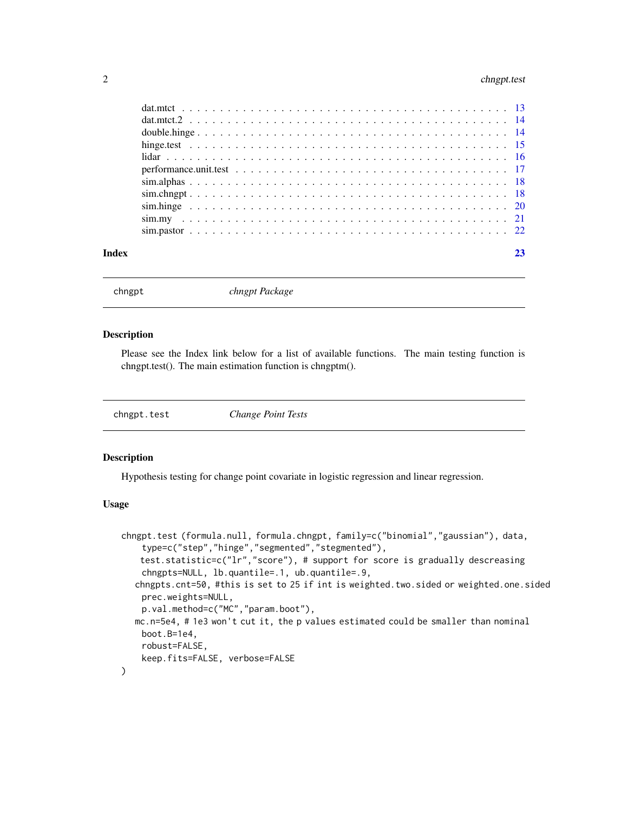# <span id="page-1-0"></span>2 chngpt.test

| Index |  |
|-------|--|
|       |  |
|       |  |
|       |  |
|       |  |
|       |  |
|       |  |
|       |  |
|       |  |
|       |  |
|       |  |
|       |  |

chngpt *chngpt Package*

# Description

Please see the Index link below for a list of available functions. The main testing function is chngpt.test(). The main estimation function is chngptm().

chngpt.test *Change Point Tests*

#### Description

Hypothesis testing for change point covariate in logistic regression and linear regression.

#### Usage

```
chngpt.test (formula.null, formula.chngpt, family=c("binomial","gaussian"), data,
    type=c("step","hinge","segmented","stegmented"),
   test.statistic=c("lr","score"), # support for score is gradually descreasing
    chngpts=NULL, lb.quantile=.1, ub.quantile=.9,
  chngpts.cnt=50, #this is set to 25 if int is weighted.two.sided or weighted.one.sided
    prec.weights=NULL,
    p.val.method=c("MC","param.boot"),
  mc.n=5e4, # 1e3 won't cut it, the p values estimated could be smaller than nominal
    boot.B=1e4,
    robust=FALSE,
    keep.fits=FALSE, verbose=FALSE
)
```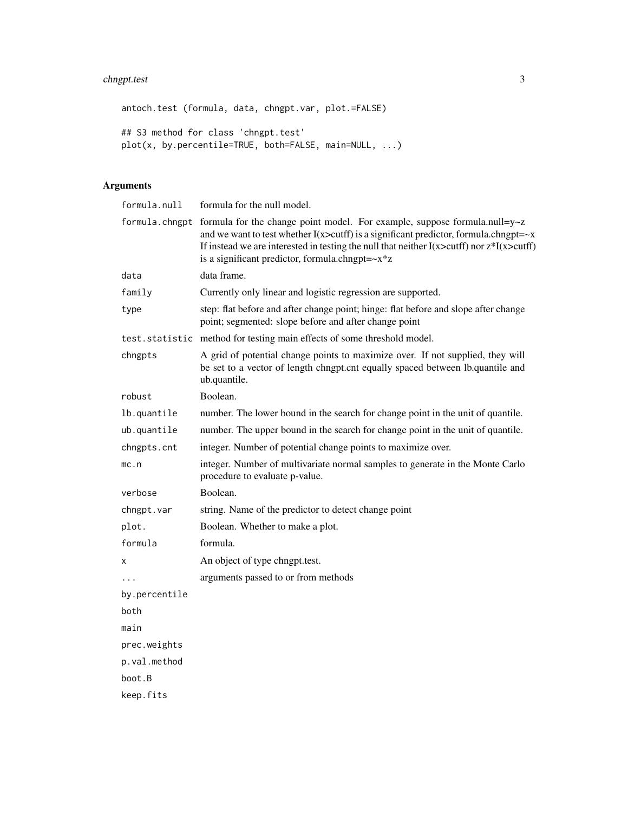# chngpt.test 3

antoch.test (formula, data, chngpt.var, plot.=FALSE) ## S3 method for class 'chngpt.test' plot(x, by.percentile=TRUE, both=FALSE, main=NULL, ...)

# Arguments

| formula.null  | formula for the null model.                                                                                                                                                                                                                                                                                                                                               |
|---------------|---------------------------------------------------------------------------------------------------------------------------------------------------------------------------------------------------------------------------------------------------------------------------------------------------------------------------------------------------------------------------|
|               | formula.chngpt formula for the change point model. For example, suppose formula.null= $y \sim z$<br>and we want to test whether $I(x > cutff)$ is a significant predictor, formula.chngpt= $-x$<br>If instead we are interested in testing the null that neither $I(x > cutff)$ nor $z * I(x > cutff)$<br>is a significant predictor, formula.chngpt= $-x$ <sup>*</sup> z |
| data          | data frame.                                                                                                                                                                                                                                                                                                                                                               |
| family        | Currently only linear and logistic regression are supported.                                                                                                                                                                                                                                                                                                              |
| type          | step: flat before and after change point; hinge: flat before and slope after change<br>point; segmented: slope before and after change point                                                                                                                                                                                                                              |
|               | test.statistic method for testing main effects of some threshold model.                                                                                                                                                                                                                                                                                                   |
| chngpts       | A grid of potential change points to maximize over. If not supplied, they will<br>be set to a vector of length chngpt.cnt equally spaced between lb.quantile and<br>ub.quantile.                                                                                                                                                                                          |
| robust        | Boolean.                                                                                                                                                                                                                                                                                                                                                                  |
| lb.quantile   | number. The lower bound in the search for change point in the unit of quantile.                                                                                                                                                                                                                                                                                           |
| ub.quantile   | number. The upper bound in the search for change point in the unit of quantile.                                                                                                                                                                                                                                                                                           |
| chngpts.cnt   | integer. Number of potential change points to maximize over.                                                                                                                                                                                                                                                                                                              |
| mc.n          | integer. Number of multivariate normal samples to generate in the Monte Carlo<br>procedure to evaluate p-value.                                                                                                                                                                                                                                                           |
| verbose       | Boolean.                                                                                                                                                                                                                                                                                                                                                                  |
| chngpt.var    | string. Name of the predictor to detect change point                                                                                                                                                                                                                                                                                                                      |
| plot.         | Boolean. Whether to make a plot.                                                                                                                                                                                                                                                                                                                                          |
| formula       | formula.                                                                                                                                                                                                                                                                                                                                                                  |
| х             | An object of type chngpt.test.                                                                                                                                                                                                                                                                                                                                            |
|               | arguments passed to or from methods                                                                                                                                                                                                                                                                                                                                       |
| by.percentile |                                                                                                                                                                                                                                                                                                                                                                           |
| both          |                                                                                                                                                                                                                                                                                                                                                                           |
| main          |                                                                                                                                                                                                                                                                                                                                                                           |
| prec.weights  |                                                                                                                                                                                                                                                                                                                                                                           |
| p.val.method  |                                                                                                                                                                                                                                                                                                                                                                           |
| boot.B        |                                                                                                                                                                                                                                                                                                                                                                           |
| keep.fits     |                                                                                                                                                                                                                                                                                                                                                                           |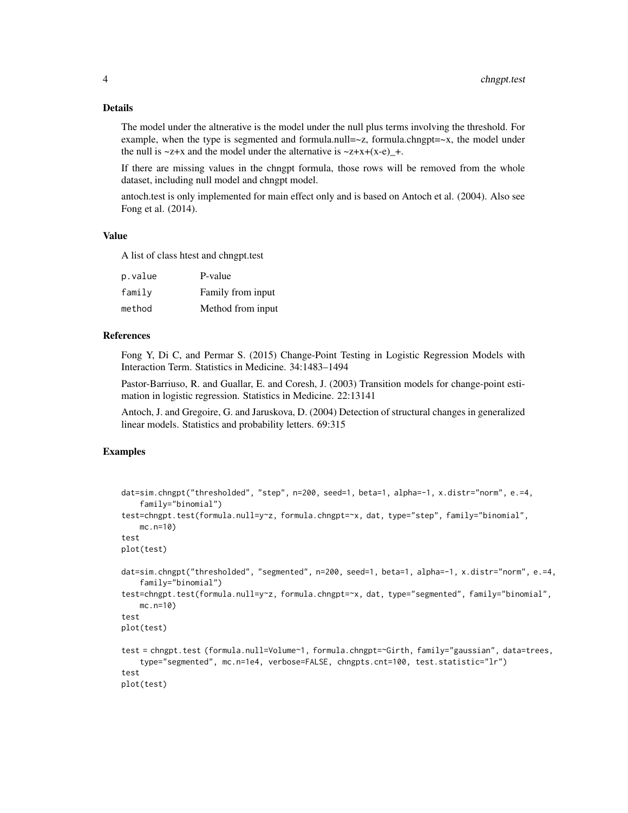#### Details

The model under the altnerative is the model under the null plus terms involving the threshold. For example, when the type is segmented and formula.null= $\sim$ z, formula.chngpt= $\sim$ x, the model under the null is  $\sim$ z+x and the model under the alternative is  $\sim$ z+x+(x-e) +.

If there are missing values in the chngpt formula, those rows will be removed from the whole dataset, including null model and chngpt model.

antoch.test is only implemented for main effect only and is based on Antoch et al. (2004). Also see Fong et al. (2014).

# Value

A list of class htest and chngpt.test

| p.value | P-value           |
|---------|-------------------|
| family  | Family from input |
| method  | Method from input |

## References

Fong Y, Di C, and Permar S. (2015) Change-Point Testing in Logistic Regression Models with Interaction Term. Statistics in Medicine. 34:1483–1494

Pastor-Barriuso, R. and Guallar, E. and Coresh, J. (2003) Transition models for change-point estimation in logistic regression. Statistics in Medicine. 22:13141

Antoch, J. and Gregoire, G. and Jaruskova, D. (2004) Detection of structural changes in generalized linear models. Statistics and probability letters. 69:315

#### Examples

```
dat=sim.chngpt("thresholded", "step", n=200, seed=1, beta=1, alpha=-1, x.distr="norm", e.=4,
    family="binomial")
test=chngpt.test(formula.null=y~z, formula.chngpt=~x, dat, type="step", family="binomial",
   mc.n=10)
test
plot(test)
dat=sim.chngpt("thresholded", "segmented", n=200, seed=1, beta=1, alpha=-1, x.distr="norm", e.=4,
    family="binomial")
test=chngpt.test(formula.null=y~z, formula.chngpt=~x, dat, type="segmented", family="binomial",
   mc.n=10)
test
plot(test)
test = chngpt.test (formula.null=Volume~1, formula.chngpt=~Girth, family="gaussian", data=trees,
    type="segmented", mc.n=1e4, verbose=FALSE, chngpts.cnt=100, test.statistic="lr")
test
plot(test)
```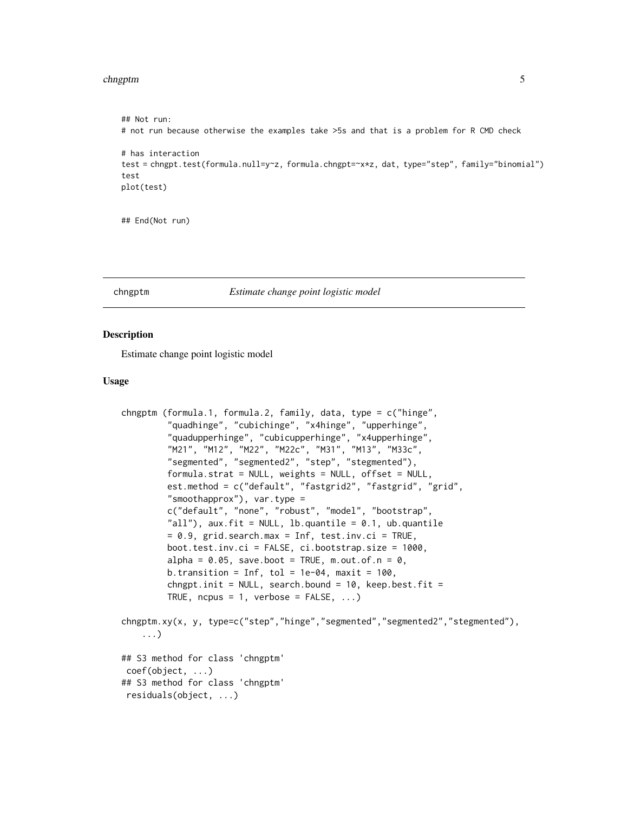#### <span id="page-4-0"></span>chngptm 5

```
## Not run:
# not run because otherwise the examples take >5s and that is a problem for R CMD check
# has interaction
test = chngpt.test(formula.null=y~z, formula.chngpt=~x*z, dat, type="step", family="binomial")
test
plot(test)
```
## End(Not run)

#### chngptm *Estimate change point logistic model*

#### **Description**

Estimate change point logistic model

#### Usage

```
chngptm (formula.1, formula.2, family, data, type = c("hinge",
         "quadhinge", "cubichinge", "x4hinge", "upperhinge",
         "quadupperhinge", "cubicupperhinge", "x4upperhinge",
         "M21", "M12", "M22", "M22c", "M31", "M13", "M33c",
         "segmented", "segmented2", "step", "stegmented"),
         formula.strat = NULL, weights = NULL, offset = NULL,
         est.method = c("default", "fastgrid2", "fastgrid", "grid",
         "smoothapprox"), var.type =
         c("default", "none", "robust", "model", "bootstrap",
         "all"), aux.fit = NULL, lb.quantile = 0.1, ub.quantile
         = 0.9, grid.search.max = Inf, test.inv.ci = TRUE,
         boot.test.inv.ci = FALSE, ci.bootstrap.size = 1000,
         alpha = 0.05, save.boot = TRUE, m.out.of.n = 0,
         b.transition = Inf, tol = 1e-04, maxit = 100,
         chngpt.init = NULL, search.bound = 10, keep.best.fit =
         TRUE, ncpus = 1, verbose = FALSE, ...)
chngptm.xy(x, y, type=c("step","hinge","segmented","segmented2","stegmented"),
    ...)
## S3 method for class 'chngptm'
coef(object, ...)
## S3 method for class 'chngptm'
residuals(object, ...)
```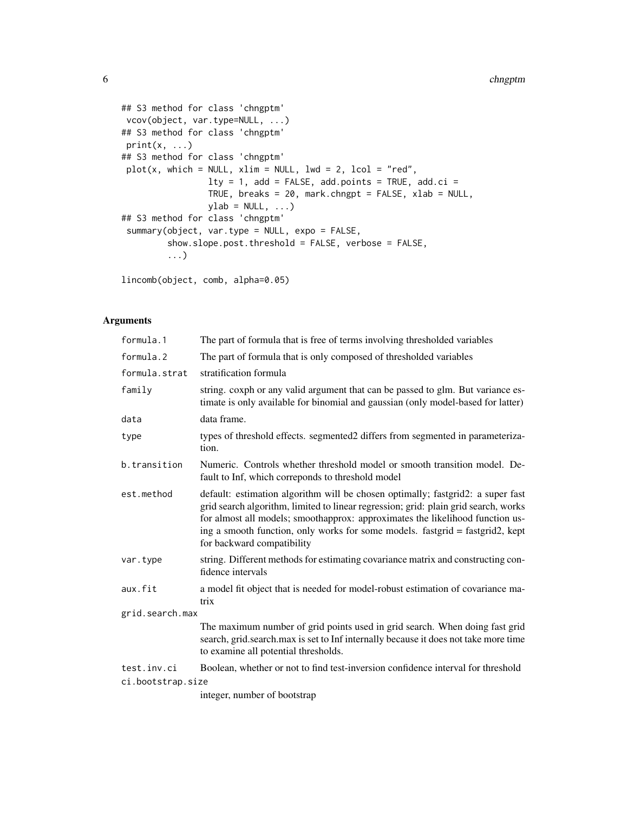```
## S3 method for class 'chngptm'
vcov(object, var.type=NULL, ...)
## S3 method for class 'chngptm'
print(x, \ldots)## S3 method for class 'chngptm'
plot(x, which = NULL, xlim = NULL, lwd = 2, lcol = "red",lty = 1, add = FALSE, add.points = TRUE, add.ci =
                 TRUE, breaks = 20, mark.chngpt = FALSE, xlab = NULL,
                 ylab = NULL, ...)## S3 method for class 'chngptm'
summary(object, var.type = NULL, expo = FALSE,
         show.slope.post.threshold = FALSE, verbose = FALSE,
         ...)
```
lincomb(object, comb, alpha=0.05)

#### Arguments

| formula.1         | The part of formula that is free of terms involving thresholded variables                                                                                                                                                                                                                                                                                              |
|-------------------|------------------------------------------------------------------------------------------------------------------------------------------------------------------------------------------------------------------------------------------------------------------------------------------------------------------------------------------------------------------------|
| formula.2         | The part of formula that is only composed of thresholded variables                                                                                                                                                                                                                                                                                                     |
| formula.strat     | stratification formula                                                                                                                                                                                                                                                                                                                                                 |
| family            | string. coxph or any valid argument that can be passed to glm. But variance es-<br>timate is only available for binomial and gaussian (only model-based for latter)                                                                                                                                                                                                    |
| data              | data frame.                                                                                                                                                                                                                                                                                                                                                            |
| type              | types of threshold effects. segmented2 differs from segmented in parameteriza-<br>tion.                                                                                                                                                                                                                                                                                |
| b.transition      | Numeric. Controls whether threshold model or smooth transition model. De-<br>fault to Inf, which correponds to threshold model                                                                                                                                                                                                                                         |
| est.method        | default: estimation algorithm will be chosen optimally; fastgrid2: a super fast<br>grid search algorithm, limited to linear regression; grid: plain grid search, works<br>for almost all models; smoothapprox: approximates the likelihood function us-<br>ing a smooth function, only works for some models. fastgrid = fastgrid2, kept<br>for backward compatibility |
| var.type          | string. Different methods for estimating covariance matrix and constructing con-<br>fidence intervals                                                                                                                                                                                                                                                                  |
| aux.fit           | a model fit object that is needed for model-robust estimation of covariance ma-<br>trix                                                                                                                                                                                                                                                                                |
| grid.search.max   |                                                                                                                                                                                                                                                                                                                                                                        |
|                   | The maximum number of grid points used in grid search. When doing fast grid<br>search, grid.search.max is set to Inf internally because it does not take more time<br>to examine all potential thresholds.                                                                                                                                                             |
| test.inv.ci       | Boolean, whether or not to find test-inversion confidence interval for threshold                                                                                                                                                                                                                                                                                       |
| ci.bootstrap.size |                                                                                                                                                                                                                                                                                                                                                                        |
|                   | integer, number of bootstrap                                                                                                                                                                                                                                                                                                                                           |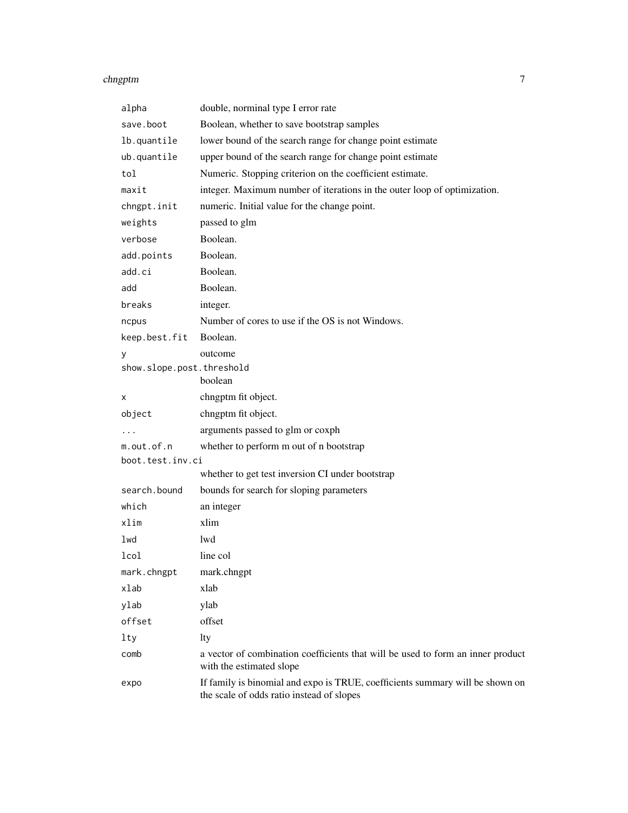#### chngptm  $\sim$  7

| alpha                     | double, norminal type I error rate                                                                                         |
|---------------------------|----------------------------------------------------------------------------------------------------------------------------|
| save.boot                 | Boolean, whether to save bootstrap samples                                                                                 |
| lb.quantile               | lower bound of the search range for change point estimate                                                                  |
| ub.quantile               | upper bound of the search range for change point estimate                                                                  |
| tol                       | Numeric. Stopping criterion on the coefficient estimate.                                                                   |
| maxit                     | integer. Maximum number of iterations in the outer loop of optimization.                                                   |
| chngpt.init               | numeric. Initial value for the change point.                                                                               |
| weights                   | passed to glm                                                                                                              |
| verbose                   | Boolean.                                                                                                                   |
| add.points                | Boolean.                                                                                                                   |
| add.ci                    | Boolean.                                                                                                                   |
| add                       | Boolean.                                                                                                                   |
| breaks                    | integer.                                                                                                                   |
| ncpus                     | Number of cores to use if the OS is not Windows.                                                                           |
| keep.best.fit             | Boolean.                                                                                                                   |
| у                         | outcome                                                                                                                    |
| show.slope.post.threshold |                                                                                                                            |
|                           | boolean                                                                                                                    |
| х                         | chngptm fit object.                                                                                                        |
| object                    | chngptm fit object.                                                                                                        |
|                           | arguments passed to glm or coxph                                                                                           |
| m.out.of.n                | whether to perform m out of n bootstrap                                                                                    |
| boot.test.inv.ci          |                                                                                                                            |
|                           | whether to get test inversion CI under bootstrap                                                                           |
| search.bound              | bounds for search for sloping parameters                                                                                   |
| which                     | an integer                                                                                                                 |
| xlim                      | xlim                                                                                                                       |
| lwd                       | lwd                                                                                                                        |
| lcol                      | line col                                                                                                                   |
| mark.chngpt               | mark.chngpt                                                                                                                |
| xlab                      | xlab                                                                                                                       |
| ylab                      | ylab                                                                                                                       |
| offset                    | offset                                                                                                                     |
| lty                       | lty                                                                                                                        |
| comb                      | a vector of combination coefficients that will be used to form an inner product<br>with the estimated slope                |
| expo                      | If family is binomial and expo is TRUE, coefficients summary will be shown on<br>the scale of odds ratio instead of slopes |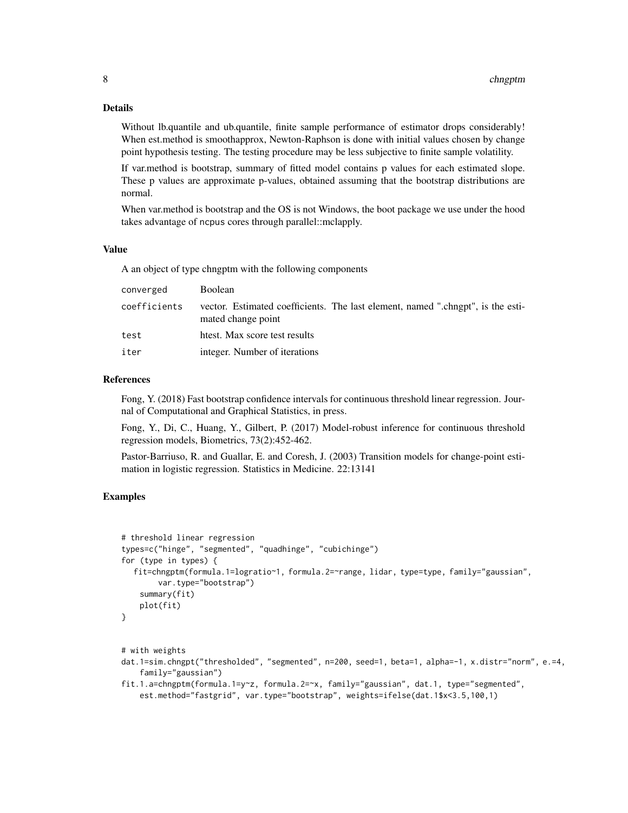#### Details

Without lb.quantile and ub.quantile, finite sample performance of estimator drops considerably! When est.method is smoothapprox, Newton-Raphson is done with initial values chosen by change point hypothesis testing. The testing procedure may be less subjective to finite sample volatility.

If var.method is bootstrap, summary of fitted model contains p values for each estimated slope. These p values are approximate p-values, obtained assuming that the bootstrap distributions are normal.

When var.method is bootstrap and the OS is not Windows, the boot package we use under the hood takes advantage of ncpus cores through parallel::mclapply.

#### Value

A an object of type chngptm with the following components

| converged    | <b>Boolean</b>                                                                                        |
|--------------|-------------------------------------------------------------------------------------------------------|
| coefficients | vector. Estimated coefficients. The last element, named ".chngpt", is the esti-<br>mated change point |
| test         | htest. Max score test results                                                                         |
| iter         | integer. Number of iterations                                                                         |

#### References

Fong, Y. (2018) Fast bootstrap confidence intervals for continuous threshold linear regression. Journal of Computational and Graphical Statistics, in press.

Fong, Y., Di, C., Huang, Y., Gilbert, P. (2017) Model-robust inference for continuous threshold regression models, Biometrics, 73(2):452-462.

Pastor-Barriuso, R. and Guallar, E. and Coresh, J. (2003) Transition models for change-point estimation in logistic regression. Statistics in Medicine. 22:13141

# Examples

```
# threshold linear regression
types=c("hinge", "segmented", "quadhinge", "cubichinge")
for (type in types) {
  fit=chngptm(formula.1=logratio~1, formula.2=~range, lidar, type=type, family="gaussian",
       var.type="bootstrap")
    summary(fit)
    plot(fit)
}
```

```
# with weights
```
- dat.1=sim.chngpt("thresholded", "segmented", n=200, seed=1, beta=1, alpha=-1, x.distr="norm", e.=4, family="gaussian")
- fit.1.a=chngptm(formula.1=y~z, formula.2=~x, family="gaussian", dat.1, type="segmented", est.method="fastgrid", var.type="bootstrap", weights=ifelse(dat.1\$x<3.5,100,1)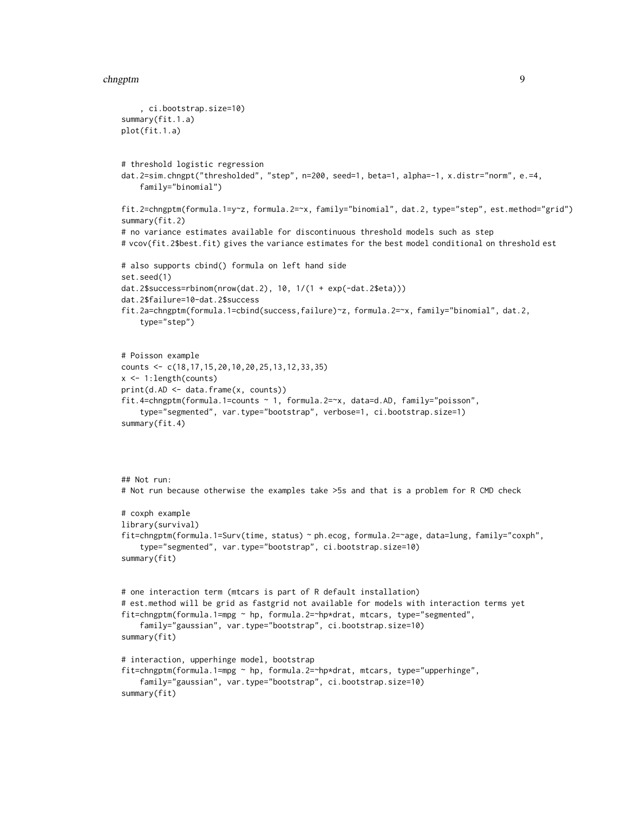#### chngptm 9

```
, ci.bootstrap.size=10)
summary(fit.1.a)
plot(fit.1.a)
# threshold logistic regression
dat.2=sim.chngpt("thresholded", "step", n=200, seed=1, beta=1, alpha=-1, x.distr="norm", e.=4,
    family="binomial")
fit.2=chngptm(formula.1=y~z, formula.2=~x, family="binomial", dat.2, type="step", est.method="grid")
summary(fit.2)
# no variance estimates available for discontinuous threshold models such as step
# vcov(fit.2$best.fit) gives the variance estimates for the best model conditional on threshold est
# also supports cbind() formula on left hand side
set.seed(1)
dat.2$success=rbinom(nrow(dat.2), 10, 1/(1 + exp(-dat.2$eta)))
dat.2$failure=10-dat.2$success
fit.2a=chngptm(formula.1=cbind(success,failure)~z, formula.2=~x, family="binomial", dat.2,
    type="step")
# Poisson example
counts <- c(18,17,15,20,10,20,25,13,12,33,35)
x <- 1:length(counts)
print(d.AD <- data.frame(x, counts))
fit.4=chngptm(formula.1=counts ~ 1, formula.2=~x, data=d.AD, family="poisson",
    type="segmented", var.type="bootstrap", verbose=1, ci.bootstrap.size=1)
summary(fit.4)
## Not run:
# Not run because otherwise the examples take >5s and that is a problem for R CMD check
# coxph example
library(survival)
fit=chngptm(formula.1=Surv(time, status) ~ ph.ecog, formula.2=~age, data=lung, family="coxph",
    type="segmented", var.type="bootstrap", ci.bootstrap.size=10)
summary(fit)
# one interaction term (mtcars is part of R default installation)
# est.method will be grid as fastgrid not available for models with interaction terms yet
fit=chngptm(formula.1=mpg ~ hp, formula.2=~hp*drat, mtcars, type="segmented",
    family="gaussian", var.type="bootstrap", ci.bootstrap.size=10)
summary(fit)
# interaction, upperhinge model, bootstrap
fit=chngptm(formula.1=mpg ~ hp, formula.2=~hp*drat, mtcars, type="upperhinge",
    family="gaussian", var.type="bootstrap", ci.bootstrap.size=10)
summary(fit)
```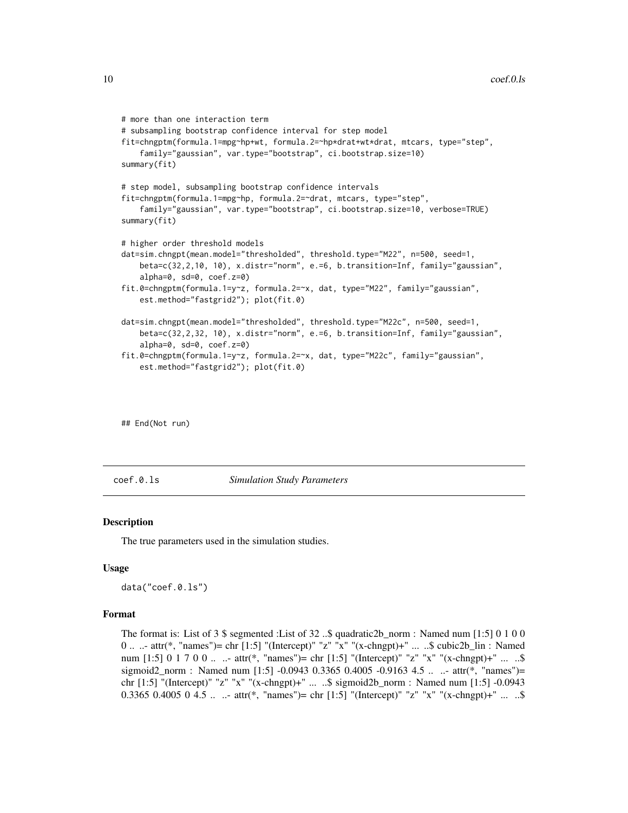```
# more than one interaction term
# subsampling bootstrap confidence interval for step model
fit=chngptm(formula.1=mpg~hp+wt, formula.2=~hp*drat+wt*drat, mtcars, type="step",
    family="gaussian", var.type="bootstrap", ci.bootstrap.size=10)
summary(fit)
# step model, subsampling bootstrap confidence intervals
fit=chngptm(formula.1=mpg~hp, formula.2=~drat, mtcars, type="step",
    family="gaussian", var.type="bootstrap", ci.bootstrap.size=10, verbose=TRUE)
summary(fit)
# higher order threshold models
dat=sim.chngpt(mean.model="thresholded", threshold.type="M22", n=500, seed=1,
    beta=c(32,2,10, 10), x.distr="norm", e.=6, b.transition=Inf, family="gaussian",
    alpha=0, sd=0, coef.z=0)
fit.0=chngptm(formula.1=y~z, formula.2=~x, dat, type="M22", family="gaussian",
    est.method="fastgrid2"); plot(fit.0)
dat=sim.chngpt(mean.model="thresholded", threshold.type="M22c", n=500, seed=1,
    beta=c(32,2,32, 10), x.distr="norm", e.=6, b.transition=Inf, family="gaussian",
    alpha=0, sd=0, coef.z=0)
fit.0=chngptm(formula.1=y~z, formula.2=~x, dat, type="M22c", family="gaussian",
    est.method="fastgrid2"); plot(fit.0)
```
## End(Not run)

coef.0.ls *Simulation Study Parameters*

#### Description

The true parameters used in the simulation studies.

#### Usage

data("coef.0.ls")

#### Format

The format is: List of 3 \$ segmented :List of 32 ..\$ quadratic2b norm : Named num [1:5] 0 1 0 0 0 .. ..- attr(\*, "names")= chr [1:5] "(Intercept)" "z" "x" "(x-chngpt)+" ... ..\$ cubic2b\_lin : Named num  $[1:5]$  0 1 7 0 0 ...  $\therefore$  attr(\*, "names")= chr  $[1:5]$  "(Intercept)" "z" "x" "(x-chngpt)+"  $\therefore$  ...\$ sigmoid2\_norm : Named num [1:5] -0.0943 0.3365 0.4005 -0.9163 4.5 ... ..- attr(\*, "names")= chr [1:5] "(Intercept)" "z" "x" "(x-chngpt)+" ... ..\$ sigmoid2b\_norm : Named num [1:5] -0.0943 0.3365 0.4005 0 4.5 .. ..- attr(\*, "names")= chr [1:5] "(Intercept)" "z" "x" "(x-chngpt)+" ... ..\$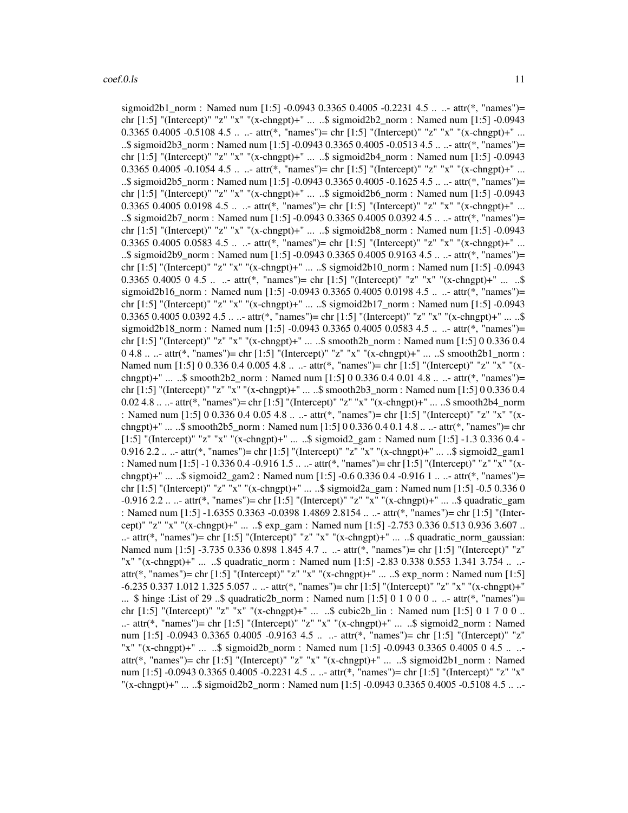sigmoid2b1\_norm : Named num [1:5] -0.0943 0.3365 0.4005 -0.2231 4.5 .. ..- attr(\*, "names")= chr [1:5] "(Intercept)" "z" "x" "(x-chngpt)+" ... ..\$ sigmoid2b2\_norm : Named num [1:5] -0.0943 0.3365 0.4005 -0.5108 4.5 ... - attr(\*, "names")= chr [1:5] "(Intercept)" "z" "x" "(x-chngpt)+" ... ..\$ sigmoid2b3\_norm : Named num [1:5] -0.0943 0.3365 0.4005 -0.0513 4.5 .. ..- attr(\*, "names")= chr [1:5] "(Intercept)" "z" "x" "(x-chngpt)+" ... ..\$ sigmoid2b4\_norm : Named num [1:5] -0.0943 0.3365 0.4005 -0.1054 4.5 ... - attr(\*, "names")= chr [1:5] "(Intercept)" "z" "x" "(x-chngpt)+" ... ..\$ sigmoid2b5\_norm : Named num [1:5] -0.0943 0.3365 0.4005 -0.1625 4.5 .. ..- attr(\*, "names")= chr [1:5] "(Intercept)" "z" "x" "(x-chngpt)+" ... ..\$ sigmoid2b6\_norm : Named num [1:5] -0.0943 0.3365 0.4005 0.0198 4.5 ...  $\cdot$  attr(\*, "names")= chr [1:5] "(Intercept)" "z" "x" "(x-chngpt)+" ... ..\$ sigmoid2b7\_norm : Named num [1:5] -0.0943 0.3365 0.4005 0.0392 4.5 .. ..- attr(\*, "names")= chr [1:5] "(Intercept)" "z" "x" "(x-chngpt)+" ... ..\$ sigmoid2b8\_norm : Named num [1:5] -0.0943 0.3365 0.4005 0.0583 4.5 ...  $\cdot$  attr(\*, "names")= chr [1:5] "(Intercept)" "z" "x" "(x-chngpt)+" ... ..\$ sigmoid2b9\_norm : Named num [1:5] -0.0943 0.3365 0.4005 0.9163 4.5 .. ..- attr(\*, "names")= chr [1:5] "(Intercept)" "z" "x" "(x-chngpt)+" ... ..\$ sigmoid2b10\_norm : Named num [1:5] -0.0943 0.3365 0.4005 0 4.5 ...  $\pm$  attr(\*, "names")= chr [1:5] "(Intercept)" "z" "x" "(x-chngpt)+" ... ..\$ sigmoid2b16\_norm : Named num [1:5] -0.0943 0.3365 0.4005 0.0198 4.5 .. ..- attr(\*, "names")= chr [1:5] "(Intercept)" "z" "x" "(x-chngpt)+" ... ..\$ sigmoid2b17\_norm : Named num [1:5] -0.0943  $0.3365\,0.4005\,0.0392\,4.5\ldots$  - attr(\*, "names")= chr [1:5] "(Intercept)" "z" "x" "(x-chngpt)+" ... ..\$ sigmoid2b18\_norm : Named num [1:5] -0.0943 0.3365 0.4005 0.0583 4.5 .. ..- attr(\*, "names")= chr [1:5] "(Intercept)" "z" "x" "(x-chngpt)+" ... ..\$ smooth2b\_norm : Named num [1:5] 0 0.336 0.4  $0.4.8...$  attr(\*, "names")= chr [1:5] "(Intercept)" "z" "x" "(x-chngpt)+" ... ..\$ smooth2b1\_norm : Named num [1:5] 0 0.336 0.4 0.005 4.8 .. ..- attr(\*, "names")= chr [1:5] "(Intercept)" "z" "x" "(xchngpt)+" ... ..\$ smooth2b2\_norm : Named num [1:5] 0 0.336 0.4 0.01 4.8 .. ..- attr(\*, "names")= chr [1:5] "(Intercept)" "z" "x" "(x-chngpt)+" ... ..\$ smooth2b3\_norm : Named num [1:5] 0 0.336 0.4 0.02 4.8 .. ..- attr(\*, "names")= chr [1:5] "(Intercept)" "z" "x" "(x-chngpt)+" ... ..\$ smooth2b4\_norm : Named num [1:5] 0 0.336 0.4 0.05 4.8 .. ..- attr(\*, "names")= chr [1:5] "(Intercept)" "z" "x" "(xchngpt)+" ... ..\$ smooth2b5\_norm : Named num [1:5] 0 0.336 0.4 0.1 4.8 .. ..- attr(\*, "names")= chr [1:5] "(Intercept)" "z" "x" "(x-chngpt)+" ... ..\$ sigmoid2\_gam : Named num [1:5] -1.3 0.336 0.4 - 0.916 2.2 .. ..- attr(\*, "names")= chr [1:5] "(Intercept)" "z" "x" "(x-chngpt)+" ... ..\$ sigmoid2\_gam1 : Named num [1:5] -1 0.336 0.4 -0.916 1.5 .. ..- attr(\*, "names")= chr [1:5] "(Intercept)" "z" "x" "(xchngpt)+" ... ..\$ sigmoid2\_gam2 : Named num [1:5] -0.6 0.336 0.4 -0.916 1 ... ..- attr(\*, "names")= chr [1:5] "(Intercept)" "z" "x" "(x-chngpt)+" ... ..\$ sigmoid2a\_gam : Named num [1:5] -0.5 0.336 0 -0.916 2.2 .. ..- attr(\*, "names")= chr [1:5] "(Intercept)" "z" "x" "(x-chngpt)+" ... ..\$ quadratic\_gam : Named num [1:5] -1.6355 0.3363 -0.0398 1.4869 2.8154 .. ..- attr(\*, "names")= chr [1:5] "(Intercept)" "z" "x" "(x-chngpt)+" ... ..\$ exp\_gam : Named num [1:5] -2.753 0.336 0.513 0.936 3.607 .. ..- attr(\*, "names")= chr [1:5] "(Intercept)" "z" "x" "(x-chngpt)+" ... ..\$ quadratic\_norm\_gaussian: Named num [1:5] -3.735 0.336 0.898 1.845 4.7 .. ..- attr(\*, "names")= chr [1:5] "(Intercept)" "z" "x" "(x-chngpt)+" ... ..\$ quadratic\_norm : Named num [1:5] -2.83 0.338 0.553 1.341 3.754 .. .. attr(\*, "names")= chr [1:5] "(Intercept)" "z" "x" "(x-chngpt)+" ... ..\$ exp\_norm : Named num [1:5] -6.235 0.337 1.012 1.325 5.057 .. ..- attr(\*, "names")= chr [1:5] "(Intercept)" "z" "x" "(x-chngpt)+" ... \$ hinge :List of 29 ..\$ quadratic2b\_norm : Named num [1:5] 0 1 0 0 0 .. ..- attr(\*, "names")= chr  $[1:5]$  "(Intercept)" "z" "x" "(x-chngpt)+" ... ..\$ cubic2b lin : Named num  $[1:5]$  0 1 7 0 0 .. ..- attr(\*, "names")= chr [1:5] "(Intercept)" "z" "x" "(x-chngpt)+" ... ..\$ sigmoid2\_norm : Named num [1:5] -0.0943 0.3365 0.4005 -0.9163 4.5 .. ..- attr(\*, "names")= chr [1:5] "(Intercept)" "z" "x" "(x-chngpt)+" ... ..\$ sigmoid2b\_norm : Named num [1:5] -0.0943 0.3365 0.4005 0 4.5 .. .. attr(\*, "names")= chr [1:5] "(Intercept)" "z" "x" "(x-chngpt)+" ... ..\$ sigmoid2b1\_norm : Named num [1:5] -0.0943 0.3365 0.4005 -0.2231 4.5 .. ..- attr(\*, "names")= chr [1:5] "(Intercept)" "z" "x" "(x-chngpt)+" ... ..\$ sigmoid2b2\_norm : Named num [1:5] -0.0943 0.3365 0.4005 -0.5108 4.5 .. ..-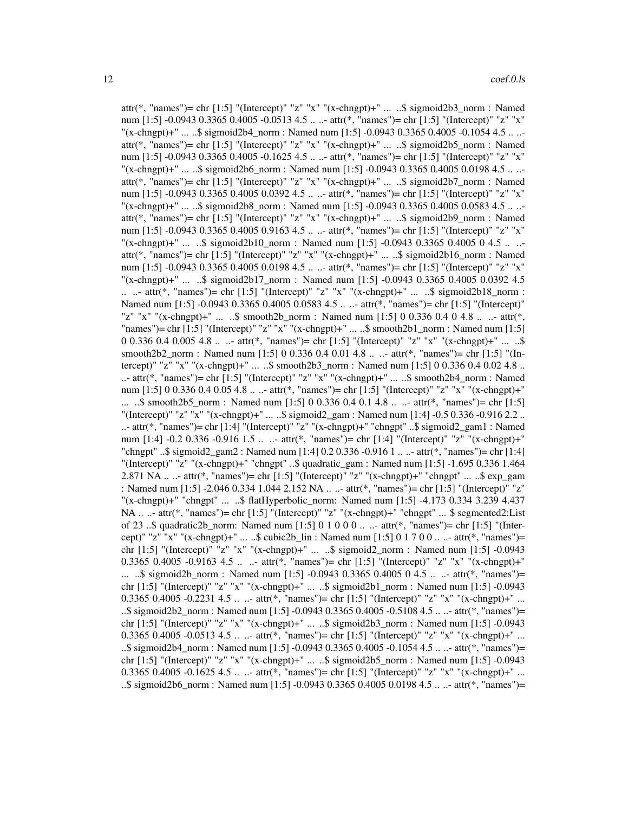attr(\*, "names")= chr [1:5] "(Intercept)" "z" "x" "(x-chngpt)+" ... ..\$ sigmoid2b3\_norm : Named num [1:5] -0.0943 0.3365 0.4005 -0.0513 4.5 .. ..- attr(\*, "names")= chr [1:5] "(Intercept)" "z" "x"  $\frac{1}{2}$  (x-chngpt)+" ... ..\$ sigmoid2b4\_norm : Named num [1:5] -0.0943 0.3365 0.4005 -0.1054 4.5 .. .. attr(\*, "names")= chr [1:5] "(Intercept)" "z" "x" "(x-chngpt)+" ... ..\$ sigmoid2b5\_norm : Named num [1:5] -0.0943 0.3365 0.4005 -0.1625 4.5 .. ..- attr(\*, "names")= chr [1:5] "(Intercept)" "z" "x" "(x-chngpt)+" ... ..\$ sigmoid2b6\_norm : Named num [1:5] -0.0943 0.3365 0.4005 0.0198 4.5 .. .. attr(\*, "names")= chr [1:5] "(Intercept)" "z" "x" "(x-chngpt)+" ... ..\$ sigmoid2b7\_norm : Named num [1:5] -0.0943 0.3365 0.4005 0.0392 4.5 .. ..- attr(\*, "names")= chr [1:5] "(Intercept)" "z" "x"  $\frac{1}{2}$  (x-chngpt)+" ... ..\$ sigmoid2b8 norm : Named num [1:5] -0.0943 0.3365 0.4005 0.0583 4.5 .. ..attr(\*, "names")= chr [1:5] "(Intercept)" "z" "x" "(x-chngpt)+" ... ..\$ sigmoid2b9\_norm : Named num [1:5] -0.0943 0.3365 0.4005 0.9163 4.5 .. ..- attr(\*, "names")= chr [1:5] "(Intercept)" "z" "x" "(x-chngpt)+" ... ..\$ sigmoid2b10\_norm : Named num [1:5] -0.0943 0.3365 0.4005 0 4.5 .. .. attr(\*, "names")= chr [1:5] "(Intercept)" "z" "x" "(x-chngpt)+" ... ..\$ sigmoid2b16\_norm : Named num [1:5] -0.0943 0.3365 0.4005 0.0198 4.5 .. ..- attr(\*, "names")= chr [1:5] "(Intercept)" "z" "x" "(x-chngpt)+" ... ..\$ sigmoid2b17\_norm : Named num [1:5] -0.0943 0.3365 0.4005 0.0392 4.5 .. ..- attr(\*, "names")= chr [1:5] "(Intercept)" "z" "x" "(x-chngpt)+" ... ..\$ sigmoid2b18\_norm : Named num [1:5] -0.0943 0.3365 0.4005 0.0583 4.5 .. ..- attr(\*, "names")= chr [1:5] "(Intercept)" "z" "x" "(x-chngpt)+" ... ..\$ smooth2b\_norm : Named num [1:5] 0 0.336 0.4 0 4.8 .. ..- attr(\*, "names")= chr [1:5] "(Intercept)" "z" "x" "(x-chngpt)+" ... ..\$ smooth2b1\_norm : Named num [1:5] 0 0.336 0.4 0.005 4.8 .. ..- attr(\*, "names")= chr [1:5] "(Intercept)" "z" "x" "(x-chngpt)+" ... ..\$ smooth2b2\_norm : Named num [1:5] 0 0.336 0.4 0.01 4.8 .. ..- attr(\*, "names")= chr [1:5] "(Intercept)" "z" "x" "(x-chngpt)+" ... ..\$ smooth2b3\_norm : Named num [1:5] 0 0.336 0.4 0.02 4.8 .. ..- attr(\*, "names")= chr [1:5] "(Intercept)" "z" "x" "(x-chngpt)+" ... ..\$ smooth2b4\_norm : Named num [1:5] 0 0.336 0.4 0.05 4.8 .. ..- attr(\*, "names")= chr [1:5] "(Intercept)" "z" "x" "(x-chngpt)+" ... ..\$ smooth2b5 norm : Named num [1:5] 0 0.336 0.4 0.1 4.8 .. ..- attr(\*, "names")= chr [1:5] "(Intercept)" "z" "x" "(x-chngpt)+" ... ..\$ sigmoid2 gam : Named num [1:4] -0.5 0.336 -0.916 2.2 .. ..- attr(\*, "names")= chr [1:4] "(Intercept)" "z" "(x-chngpt)+" "chngpt" ..\$ sigmoid2\_gam1 : Named num [1:4] -0.2 0.336 -0.916 1.5 .. ..- attr(\*, "names")= chr [1:4] "(Intercept)" "z" "(x-chngpt)+" "chngpt" ..\$ sigmoid2\_gam2 : Named num [1:4] 0.2 0.336 -0.916 1 .. ..- attr(\*, "names")= chr [1:4] "(Intercept)" "z" "(x-chngpt)+" "chngpt" ..\$ quadratic\_gam : Named num [1:5] -1.695 0.336 1.464 2.871 NA .. ..- attr(\*, "names")= chr [1:5] "(Intercept)" "z" "(x-chngpt)+" "chngpt" ... ..\$ exp\_gam : Named num [1:5] -2.046 0.334 1.044 2.152 NA .. ..- attr(\*, "names")= chr [1:5] "(Intercept)" "z" "(x-chngpt)+" "chngpt" ... ..\$ flatHyperbolic\_norm: Named num [1:5] -4.173 0.334 3.239 4.437 NA .. ..- attr(\*, "names")= chr [1:5] "(Intercept)" "z" "(x-chngpt)+" "chngpt" ... \$ segmented2:List of 23 ..\$ quadratic2b\_norm: Named num [1:5] 0 1 0 0 0 .. ..- attr(\*, "names")= chr [1:5] "(Intercept)" "z" "x" "(x-chngpt)+" ... ..\$ cubic2b\_lin : Named num [1:5] 0 1 7 0 0 ... - attr(\*, "names")= chr [1:5] "(Intercept)" "z" "x" "(x-chngpt)+" ... ..\$ sigmoid2\_norm : Named num [1:5] -0.0943 0.3365 0.4005 -0.9163 4.5 ... - attr(\*, "names")= chr [1:5] "(Intercept)" "z" "x" "(x-chngpt)+" ... ..\$ sigmoid2b\_norm : Named num [1:5] -0.0943 0.3365 0.4005 0 4.5 .. ..- attr(\*, "names")= chr [1:5] "(Intercept)" "z" "x" "(x-chngpt)+" ... ..\$ sigmoid2b1\_norm : Named num [1:5] -0.0943 0.3365 0.4005 -0.2231 4.5 ...  $\therefore$  attr(\*, "names")= chr [1:5] "(Intercept)" "z" "x" "(x-chngpt)+" ... ..\$ sigmoid2b2 norm : Named num [1:5]  $-0.0943$  0.3365 0.4005  $-0.5108$  4.5 .. ..- attr(\*, "names")= chr [1:5] "(Intercept)" "z" "x" "(x-chngpt)+" ... ..\$ sigmoid2b3\_norm : Named num [1:5] -0.0943 0.3365 0.4005 -0.0513 4.5 .. ..- attr(\*, "names")= chr [1:5] "(Intercept)" "z" "x" "(x-chngpt)+" ... ..\$ sigmoid2b4\_norm : Named num [1:5] -0.0943 0.3365 0.4005 -0.1054 4.5 .. ..- attr(\*, "names")= chr [1:5] "(Intercept)" "z" "x" "(x-chngpt)+" ... ..\$ sigmoid2b5\_norm : Named num [1:5] -0.0943 0.3365 0.4005 -0.1625 4.5 ... - attr(\*, "names")= chr [1:5] "(Intercept)" "z" "x" "(x-chngpt)+" ... ..\$ sigmoid2b6\_norm : Named num [1:5] -0.0943 0.3365 0.4005 0.0198 4.5 .. ..- attr(\*, "names")=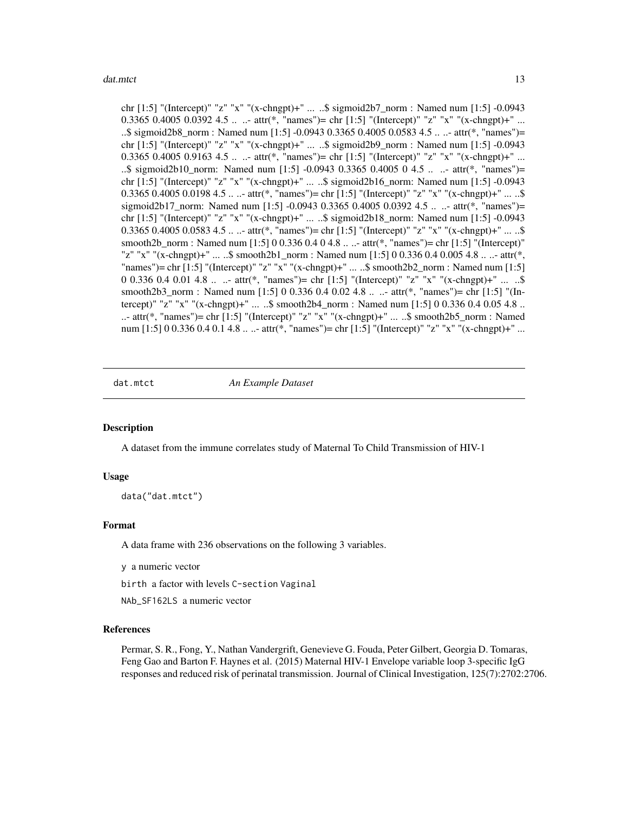<span id="page-12-0"></span>chr [1:5] "(Intercept)" "z" "x" "(x-chngpt)+" ... ..\$ sigmoid2b7\_norm : Named num [1:5] -0.0943 0.3365 0.4005 0.0392 4.5 ...  $\cdot$  attr(\*, "names")= chr [1:5] "(Intercept)" "z" "x" "(x-chngpt)+" ... ..\$ sigmoid2b8\_norm : Named num [1:5] -0.0943 0.3365 0.4005 0.0583 4.5 .. ..- attr(\*, "names")= chr [1:5] "(Intercept)" "z" "x" "(x-chngpt)+" ... ..\$ sigmoid2b9\_norm : Named num [1:5] -0.0943 0.3365 0.4005 0.9163 4.5 ...  $\cdot$  attr(\*, "names")= chr [1:5] "(Intercept)" "z" "x" "(x-chngpt)+" ... ..\$ sigmoid2b10\_norm: Named num [1:5] -0.0943 0.3365 0.4005 0 4.5 .. ..- attr(\*, "names")= chr  $[1:5]$  "(Intercept)" "z" "x" "(x-chngpt)+" ... ..\$ sigmoid2b16 norm: Named num  $[1:5]$  -0.0943 0.3365 0.4005 0.0198 4.5 .. ..- attr(\*, "names")= chr [1:5] "(Intercept)" "z" "x" "(x-chngpt)+" ... ..\$ sigmoid2b17\_norm: Named num [1:5] -0.0943 0.3365 0.4005 0.0392 4.5 .. ..- attr(\*, "names")= chr [1:5] "(Intercept)" "z" "x" "(x-chngpt)+" ... ..\$ sigmoid2b18\_norm: Named num [1:5] -0.0943 0.3365 0.4005 0.0583 4.5 .. ..- attr(\*, "names")= chr [1:5] "(Intercept)" "z" "x" "(x-chngpt)+" ... ..\$ smooth2b\_norm : Named num [1:5] 0 0.336 0.4 0 4.8 .. ..- attr(\*, "names")= chr [1:5] "(Intercept)" "z" "x" "(x-chngpt)+" ... ..\$ smooth2b1\_norm : Named num [1:5] 0 0.336 0.4 0.005 4.8 .. ..- attr(\*, "names")= chr  $[1:5]$  "(Intercept)" "z" "x" "(x-chngpt)+" ... ..\$ smooth2b2\_norm : Named num  $[1:5]$ 0 0.336 0.4 0.01 4.8 .. ..- attr(\*, "names")= chr [1:5] "(Intercept)" "z" "x" "(x-chngpt)+" ... ..\$ smooth2b3\_norm : Named num [1:5] 0 0.336 0.4 0.02 4.8 ... ..- attr(\*, "names")= chr [1:5] "(Intercept)" "z" "x" "(x-chngpt)+" ... ..\$ smooth2b4\_norm : Named num [1:5] 0 0.336 0.4 0.05 4.8 .. ..- attr(\*, "names")= chr [1:5] "(Intercept)" "z" "x" "(x-chngpt)+" ... ..\$ smooth2b5\_norm : Named num [1:5] 0 0.336 0.4 0.1 4.8 .. ..- attr(\*, "names")= chr [1:5] "(Intercept)" "z" "x" "(x-chngpt)+" ...

dat.mtct *An Example Dataset*

#### **Description**

A dataset from the immune correlates study of Maternal To Child Transmission of HIV-1

#### Usage

data("dat.mtct")

#### Format

A data frame with 236 observations on the following 3 variables.

y a numeric vector

birth a factor with levels C-section Vaginal

NAb\_SF162LS a numeric vector

#### References

Permar, S. R., Fong, Y., Nathan Vandergrift, Genevieve G. Fouda, Peter Gilbert, Georgia D. Tomaras, Feng Gao and Barton F. Haynes et al. (2015) Maternal HIV-1 Envelope variable loop 3-specific IgG responses and reduced risk of perinatal transmission. Journal of Clinical Investigation, 125(7):2702:2706.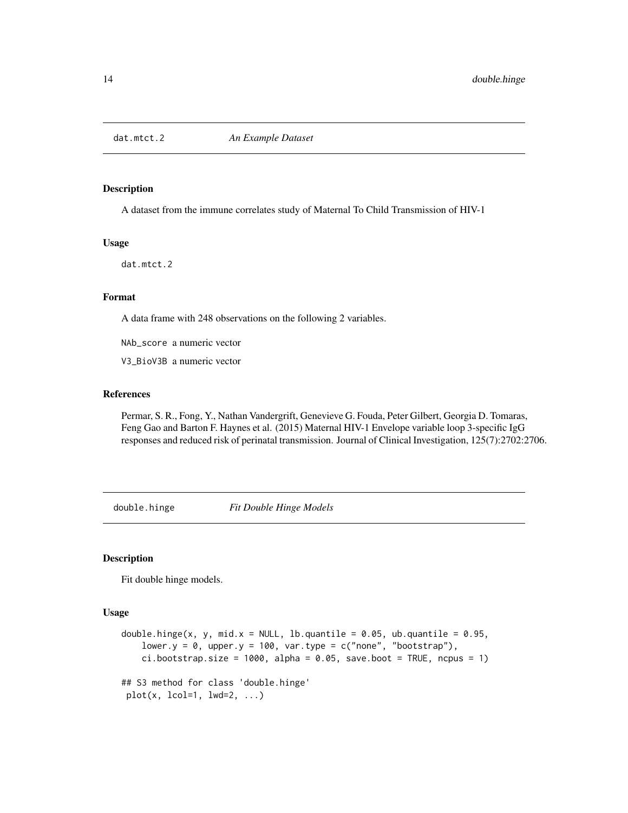<span id="page-13-0"></span>

## Description

A dataset from the immune correlates study of Maternal To Child Transmission of HIV-1

#### Usage

dat.mtct.2

## Format

A data frame with 248 observations on the following 2 variables.

NAb\_score a numeric vector

V3\_BioV3B a numeric vector

# References

Permar, S. R., Fong, Y., Nathan Vandergrift, Genevieve G. Fouda, Peter Gilbert, Georgia D. Tomaras, Feng Gao and Barton F. Haynes et al. (2015) Maternal HIV-1 Envelope variable loop 3-specific IgG responses and reduced risk of perinatal transmission. Journal of Clinical Investigation, 125(7):2702:2706.

double.hinge *Fit Double Hinge Models*

# **Description**

Fit double hinge models.

#### Usage

```
double.hinge(x, y, mid.x = NULL, lb.quantile = 0.05, ub.quantile = 0.95,
   lower.y = 0, upper.y = 100, var.type = c("none", "bootstrap"),ci.bootstrap.size = 1000, alpha = 0.05, save.boot = TRUE, ncpus = 1)
## S3 method for class 'double.hinge'
plot(x, local=1, lwd=2, ...)
```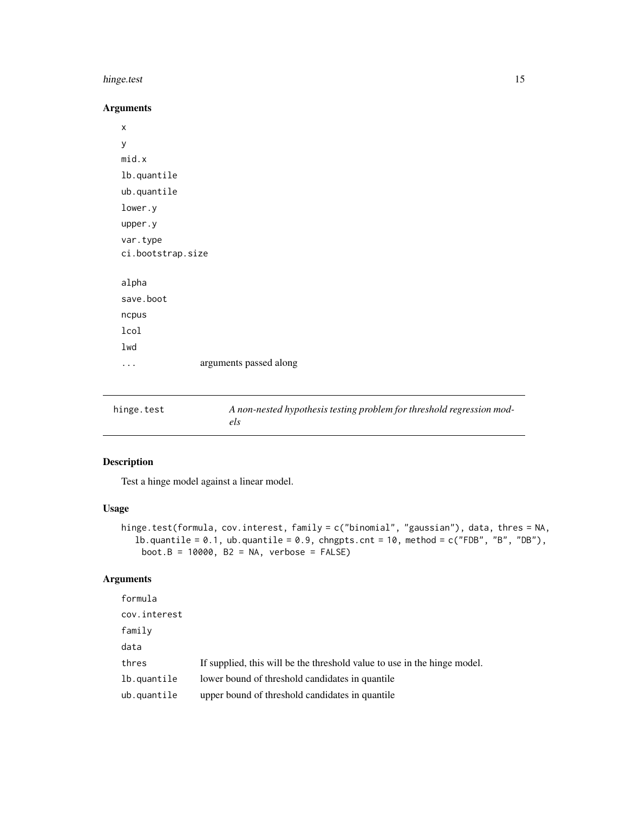#### <span id="page-14-0"></span>hinge.test 15

# Arguments

x y mid.x lb.quantile ub.quantile lower.y upper.y var.type ci.bootstrap.size alpha save.boot ncpus lcol lwd ... arguments passed along

hinge.test *A non-nested hypothesis testing problem for threshold regression models*

# Description

Test a hinge model against a linear model.

# Usage

```
hinge.test(formula, cov.interest, family = c("binomial", "gaussian"), data, thres = NA,
  lb.quantile = 0.1, ub.quantile = 0.9, chngpts.cnt = 10, method = c("FDB", "B", "DB"),boot.B = 10000, B2 = NA, verbose = FALSE)
```
#### Arguments

| cov.interest                                                                      |  |
|-----------------------------------------------------------------------------------|--|
| family                                                                            |  |
| data                                                                              |  |
| thres<br>If supplied, this will be the threshold value to use in the hinge model. |  |
| lb.quantile<br>lower bound of threshold candidates in quantile.                   |  |
| ub.quantile<br>upper bound of threshold candidates in quantile                    |  |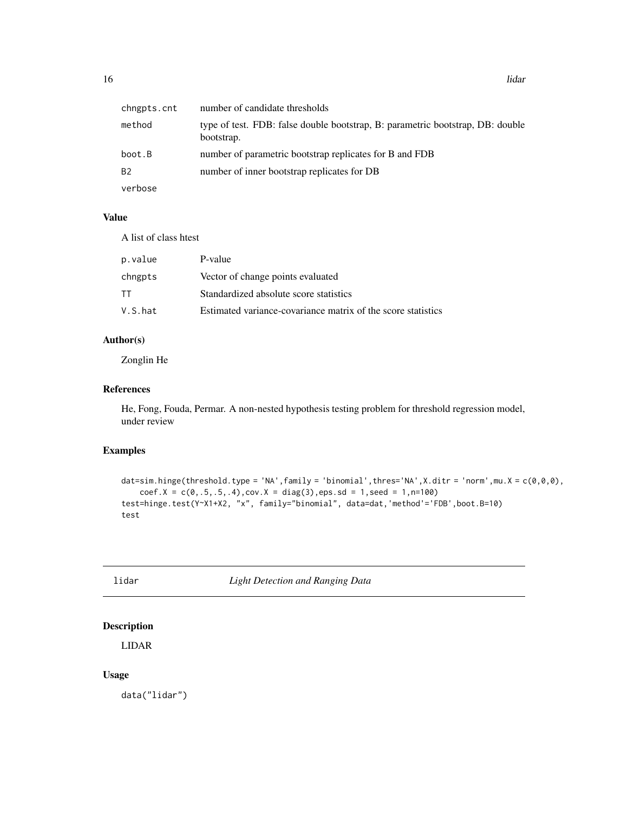<span id="page-15-0"></span>

| chngpts.cnt | number of candidate thresholds                                                               |
|-------------|----------------------------------------------------------------------------------------------|
| method      | type of test. FDB: false double bootstrap, B: parametric bootstrap, DB: double<br>bootstrap. |
| boot.B      | number of parametric bootstrap replicates for B and FDB                                      |
| B2          | number of inner bootstrap replicates for DB                                                  |
| verbose     |                                                                                              |

#### Value

A list of class htest

| p.value | P-value                                                      |
|---------|--------------------------------------------------------------|
| chngpts | Vector of change points evaluated                            |
| TT      | Standardized absolute score statistics                       |
| V.S.hat | Estimated variance-covariance matrix of the score statistics |

# Author(s)

Zonglin He

# References

He, Fong, Fouda, Permar. A non-nested hypothesis testing problem for threshold regression model, under review

#### Examples

```
dat=sim.hinge(threshold.type = 'NA',family = 'binomial',thres='NA',X.ditr = 'norm',mu.X = c(\emptyset, \emptyset, \emptyset),
    coef.X = c(0,.5,.5,.4), cov.X = diag(3),eps.sd = 1, seed = 1,n=100)test=hinge.test(Y~X1+X2, "x", family="binomial", data=dat,'method'='FDB',boot.B=10)
test
```
lidar *Light Detection and Ranging Data*

# Description

LIDAR

# Usage

data("lidar")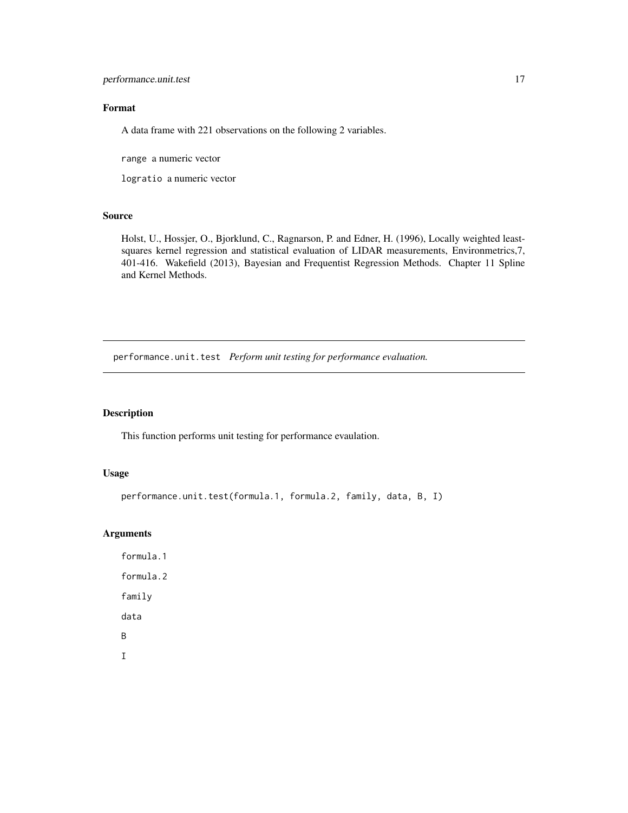# <span id="page-16-0"></span>performance.unit.test 17

# Format

A data frame with 221 observations on the following 2 variables.

range a numeric vector

logratio a numeric vector

#### Source

Holst, U., Hossjer, O., Bjorklund, C., Ragnarson, P. and Edner, H. (1996), Locally weighted leastsquares kernel regression and statistical evaluation of LIDAR measurements, Environmetrics,7, 401-416. Wakefield (2013), Bayesian and Frequentist Regression Methods. Chapter 11 Spline and Kernel Methods.

performance.unit.test *Perform unit testing for performance evaluation.*

# Description

This function performs unit testing for performance evaulation.

# Usage

```
performance.unit.test(formula.1, formula.2, family, data, B, I)
```
# Arguments

formula.1 formula.2 family data B I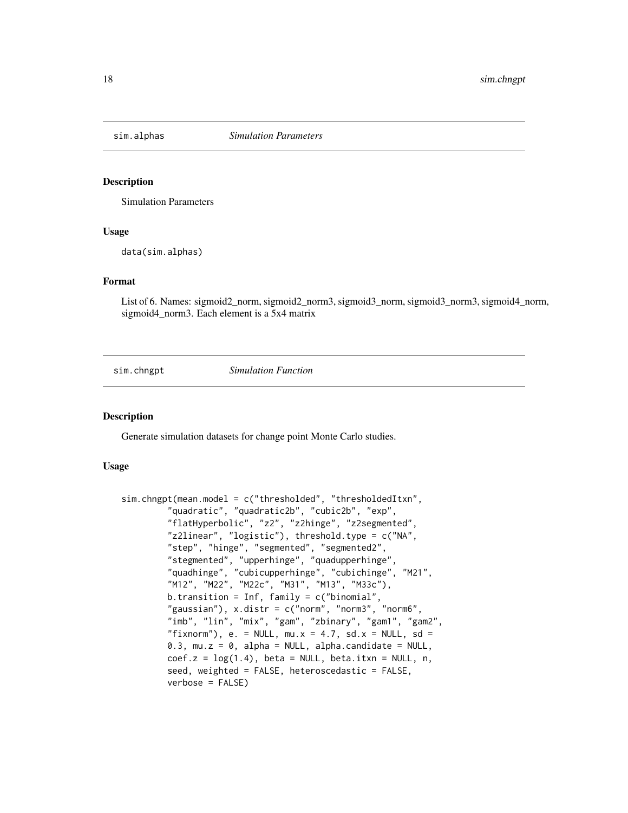<span id="page-17-0"></span>

## Description

Simulation Parameters

#### Usage

data(sim.alphas)

#### Format

List of 6. Names: sigmoid2\_norm, sigmoid2\_norm3, sigmoid3\_norm, sigmoid3\_norm3, sigmoid4\_norm, sigmoid4\_norm3. Each element is a 5x4 matrix

sim.chngpt *Simulation Function*

#### Description

Generate simulation datasets for change point Monte Carlo studies.

#### Usage

```
sim.chngpt(mean.model = c("thresholded", "thresholdedItxn",
         "quadratic", "quadratic2b", "cubic2b", "exp",
         "flatHyperbolic", "z2", "z2hinge", "z2segmented",
         "z2linear", "logistic"), threshold.type = c("NA",
         "step", "hinge", "segmented", "segmented2",
         "stegmented", "upperhinge", "quadupperhinge",
         "quadhinge", "cubicupperhinge", "cubichinge", "M21",
         "M12", "M22", "M22c", "M31", "M13", "M33c"),
         b.transition = Inf, family = c("binomial","gaussian"), x.distr = c("norm", "norm3", "norm6",
         "imb", "lin", "mix", "gam", "zbinary", "gam1", "gam2",
         "fixnorm"), e. = NULL, mu.x = 4.7, sd.x = NULL, sd =
         0.3, mu.z = 0, alpha = NULL, alpha.candidate = NULL,
         coef.z = log(1.4), beta = NULL, beta.itxn = NULL, n,
         seed, weighted = FALSE, heteroscedastic = FALSE,
         verbose = FALSE)
```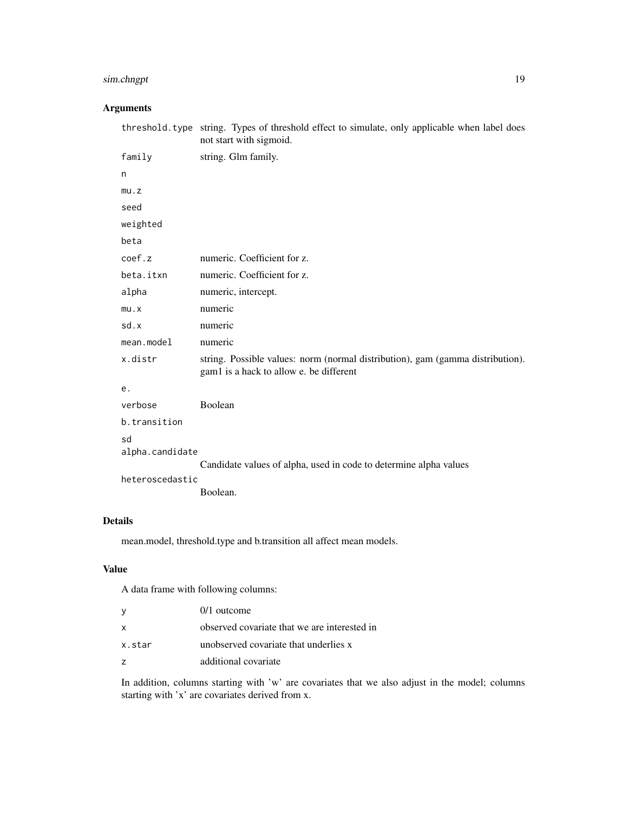# sim.chngpt 19

# Arguments

|                       | threshold. type string. Types of threshold effect to simulate, only applicable when label does<br>not start with sigmoid. |
|-----------------------|---------------------------------------------------------------------------------------------------------------------------|
| family                | string. Glm family.                                                                                                       |
| n                     |                                                                                                                           |
| mu.z                  |                                                                                                                           |
| seed                  |                                                                                                                           |
| weighted              |                                                                                                                           |
| beta                  |                                                                                                                           |
| coef.z                | numeric. Coefficient for z.                                                                                               |
| beta.itxn             | numeric. Coefficient for z.                                                                                               |
| alpha                 | numeric, intercept.                                                                                                       |
| mu.x                  | numeric                                                                                                                   |
| sd.x                  | numeric                                                                                                                   |
| mean.model            | numeric                                                                                                                   |
| x.distr               | string. Possible values: norm (normal distribution), gam (gamma distribution).<br>gam1 is a hack to allow e. be different |
| е.                    |                                                                                                                           |
| verbose               | Boolean                                                                                                                   |
| b.transition          |                                                                                                                           |
| sd<br>alpha.candidate |                                                                                                                           |
|                       | Candidate values of alpha, used in code to determine alpha values                                                         |
| heteroscedastic       |                                                                                                                           |
|                       | Boolean.                                                                                                                  |

# Details

mean.model, threshold.type and b.transition all affect mean models.

# Value

A data frame with following columns:

| ٧      | $0/1$ outcome                                |
|--------|----------------------------------------------|
| x      | observed covariate that we are interested in |
| x.star | unobserved covariate that underlies x        |
| z      | additional covariate                         |

In addition, columns starting with 'w' are covariates that we also adjust in the model; columns starting with 'x' are covariates derived from x.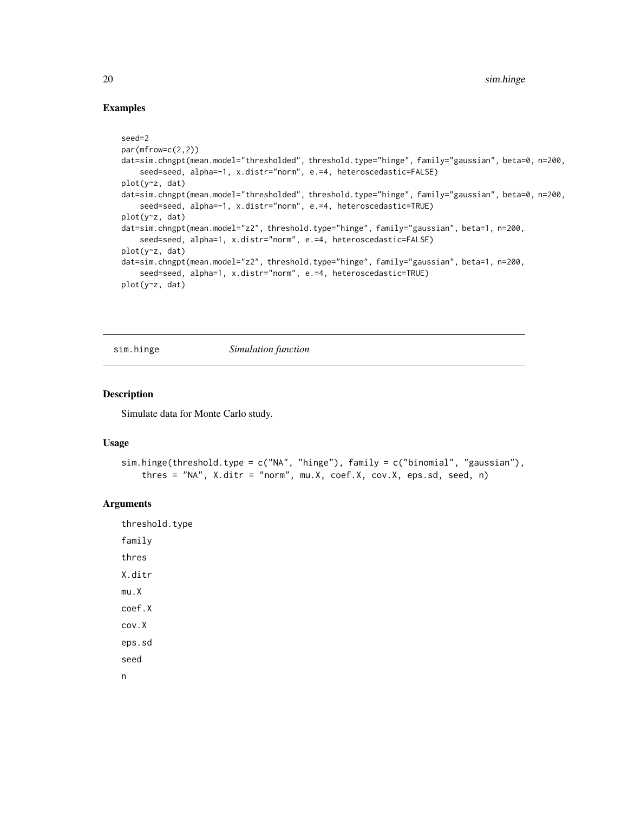## Examples

```
seed=2
par(mfrow=c(2,2))
dat=sim.chngpt(mean.model="thresholded", threshold.type="hinge", family="gaussian", beta=0, n=200,
    seed=seed, alpha=-1, x.distr="norm", e.=4, heteroscedastic=FALSE)
plot(y~z, dat)
dat=sim.chngpt(mean.model="thresholded", threshold.type="hinge", family="gaussian", beta=0, n=200,
    seed=seed, alpha=-1, x.distr="norm", e.=4, heteroscedastic=TRUE)
plot(y~z, dat)
dat=sim.chngpt(mean.model="z2", threshold.type="hinge", family="gaussian", beta=1, n=200,
    seed=seed, alpha=1, x.distr="norm", e.=4, heteroscedastic=FALSE)
plot(y~z, dat)
dat=sim.chngpt(mean.model="z2", threshold.type="hinge", family="gaussian", beta=1, n=200,
    seed=seed, alpha=1, x.distr="norm", e.=4, heteroscedastic=TRUE)
plot(y~z, dat)
```
sim.hinge *Simulation function*

#### Description

Simulate data for Monte Carlo study.

# Usage

```
sim.hinge(threshold.type = c("NA", "hinge"), family = c("binomial", "gaussian"),
   thres = "NA", X.ditr = "norm", mu.X, coef.X, cov.X, eps.sd, seed, n)
```
#### Arguments

threshold.type family thres X.ditr mu.X coef.X cov.X eps.sd seed n

<span id="page-19-0"></span>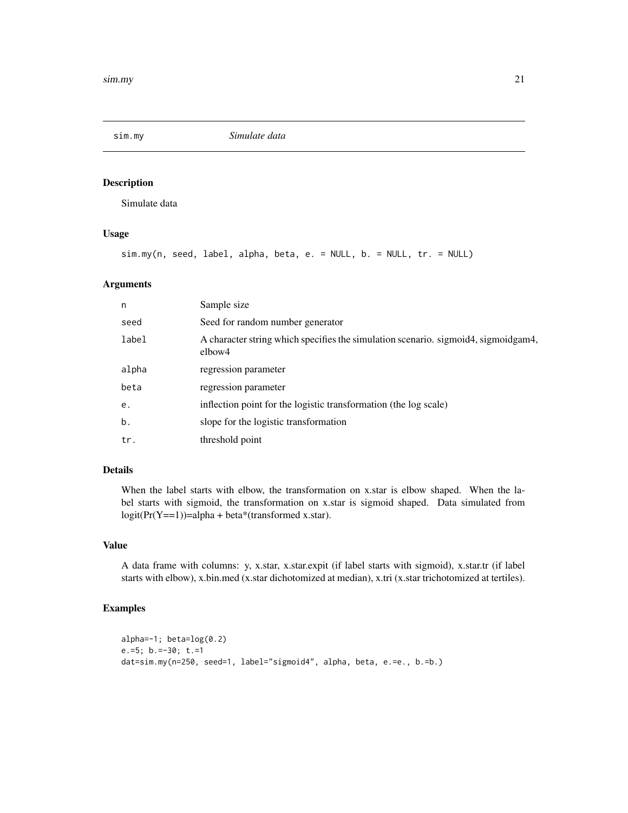<span id="page-20-0"></span>

# Description

Simulate data

# Usage

```
sim.my(n, seed, label, alpha, beta, e. = NULL, b. = NULL, tr. = NULL)
```
# Arguments

| n     | Sample size                                                                                  |
|-------|----------------------------------------------------------------------------------------------|
| seed  | Seed for random number generator                                                             |
| label | A character string which specifies the simulation scenario. sigmoid4, sigmoidgam4,<br>elbow4 |
| alpha | regression parameter                                                                         |
| beta  | regression parameter                                                                         |
| e.    | inflection point for the logistic transformation (the log scale)                             |
| b.    | slope for the logistic transformation                                                        |
| tr.   | threshold point                                                                              |

# Details

When the label starts with elbow, the transformation on x.star is elbow shaped. When the label starts with sigmoid, the transformation on x.star is sigmoid shaped. Data simulated from  $logit(Pr(Y=1))=alpha + beta*(transformed x.start).$ 

# Value

A data frame with columns: y, x.star, x.star.expit (if label starts with sigmoid), x.star.tr (if label starts with elbow), x.bin.med (x.star dichotomized at median), x.tri (x.star trichotomized at tertiles).

# Examples

```
alpha=-1; beta=log(0.2)
e.=5; b.=-30; t.=1
dat=sim.my(n=250, seed=1, label="sigmoid4", alpha, beta, e.=e., b.=b.)
```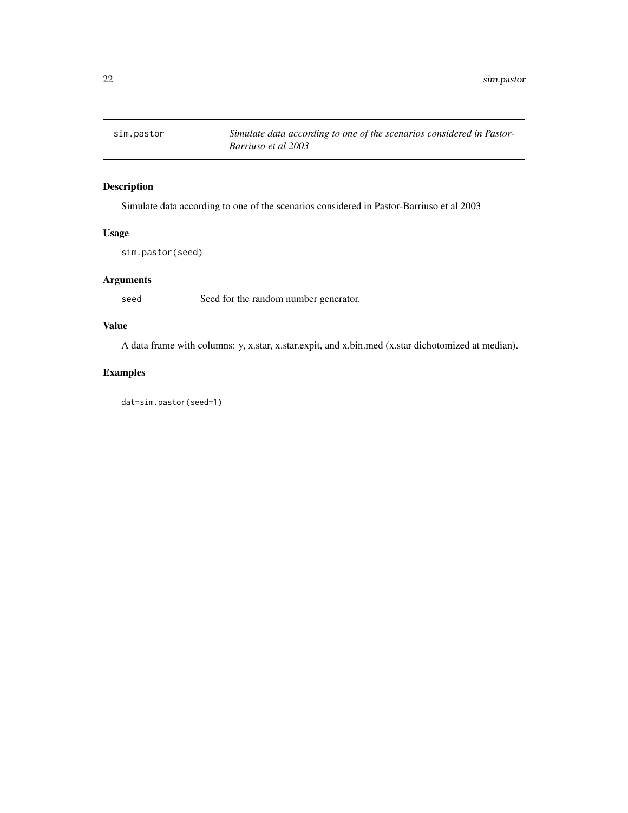<span id="page-21-0"></span>

# Description

Simulate data according to one of the scenarios considered in Pastor-Barriuso et al 2003

# Usage

sim.pastor(seed)

# Arguments

seed Seed for the random number generator.

# Value

A data frame with columns: y, x.star, x.star.expit, and x.bin.med (x.star dichotomized at median).

# Examples

dat=sim.pastor(seed=1)